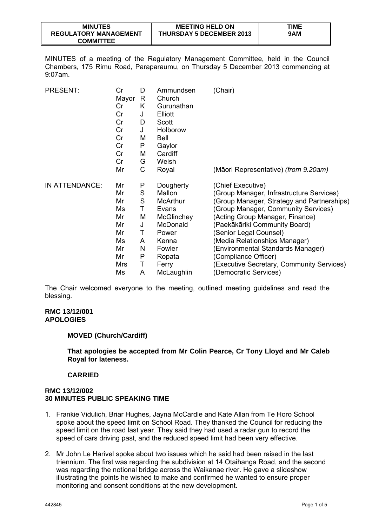| <b>MINUTES</b>               | <b>MEETING HELD ON</b>          | TIME |
|------------------------------|---------------------------------|------|
| <b>REGULATORY MANAGEMENT</b> | <b>THURSDAY 5 DECEMBER 2013</b> | 9AM  |
| <b>COMMITTEE</b>             |                                 |      |

MINUTES of a meeting of the Regulatory Management Committee, held in the Council Chambers, 175 Rimu Road, Paraparaumu, on Thursday 5 December 2013 commencing at 9:07am.

| <b>PRESENT:</b> | Cr<br>Mayor<br>Cr<br>Cr<br>Cr<br>Cr<br>Cr<br>Cr<br>Cr<br>Cr<br>Mr | D<br>R<br>Κ<br>J<br>D<br>J<br>M<br>P<br>M<br>G<br>С | Ammundsen<br>Church<br>Gurunathan<br>Elliott<br>Scott<br>Holborow<br><b>Bell</b><br>Gaylor<br>Cardiff<br>Welsh<br>Royal | (Chair)<br>(Māori Representative) (from 9.20am) |
|-----------------|-------------------------------------------------------------------|-----------------------------------------------------|-------------------------------------------------------------------------------------------------------------------------|-------------------------------------------------|
| IN ATTENDANCE:  | Mr                                                                | P                                                   | Dougherty                                                                                                               | (Chief Executive)                               |
|                 | Mr                                                                | S                                                   | Mallon                                                                                                                  | (Group Manager, Infrastructure Services)        |
|                 | Mr                                                                | S                                                   | McArthur                                                                                                                | (Group Manager, Strategy and Partnerships)      |
|                 | Ms                                                                | Τ                                                   | Evans                                                                                                                   | (Group Manager, Community Services)             |
|                 | Mr                                                                | M                                                   | <b>McGlinchey</b>                                                                                                       | (Acting Group Manager, Finance)                 |
|                 | Mr                                                                | J                                                   | McDonald                                                                                                                | (Paekākāriki Community Board)                   |
|                 | Mr                                                                | Τ                                                   | Power                                                                                                                   | (Senior Legal Counsel)                          |
|                 | Ms                                                                | A                                                   | Kenna                                                                                                                   | (Media Relationships Manager)                   |
|                 | Mr                                                                | N                                                   | Fowler                                                                                                                  | (Environmental Standards Manager)               |
|                 | Mr                                                                | P                                                   | Ropata                                                                                                                  | (Compliance Officer)                            |
|                 | Mrs                                                               | Τ                                                   | Ferry                                                                                                                   | (Executive Secretary, Community Services)       |
|                 | Ms                                                                | A                                                   | McLaughlin                                                                                                              | (Democratic Services)                           |

The Chair welcomed everyone to the meeting, outlined meeting guidelines and read the blessing.

### **RMC 13/12/001 APOLOGIES**

### **MOVED (Church/Cardiff)**

**That apologies be accepted from Mr Colin Pearce, Cr Tony Lloyd and Mr Caleb Royal for lateness.** 

# **CARRIED**

## **RMC 13/12/002 30 MINUTES PUBLIC SPEAKING TIME**

- 1. Frankie Vidulich, Briar Hughes, Jayna McCardle and Kate Allan from Te Horo School spoke about the speed limit on School Road. They thanked the Council for reducing the speed limit on the road last year. They said they had used a radar gun to record the speed of cars driving past, and the reduced speed limit had been very effective.
- 2. Mr John Le Harivel spoke about two issues which he said had been raised in the last triennium. The first was regarding the subdivision at 14 Otaihanga Road, and the second was regarding the notional bridge across the Waikanae river. He gave a slideshow illustrating the points he wished to make and confirmed he wanted to ensure proper monitoring and consent conditions at the new development.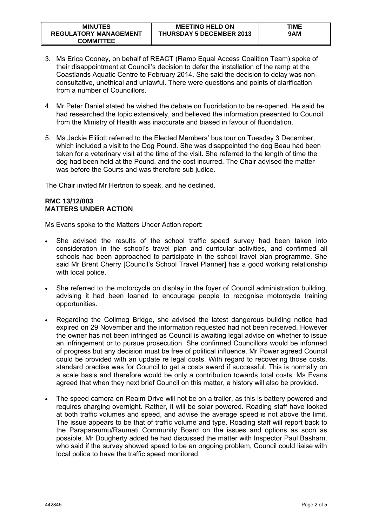- 3. Ms Erica Cooney, on behalf of REACT (Ramp Equal Access Coalition Team) spoke of their disappointment at Council's decision to defer the installation of the ramp at the Coastlands Aquatic Centre to February 2014. She said the decision to delay was nonconsultative, unethical and unlawful. There were questions and points of clarification from a number of Councillors.
- 4. Mr Peter Daniel stated he wished the debate on fluoridation to be re-opened. He said he had researched the topic extensively, and believed the information presented to Council from the Ministry of Health was inaccurate and biased in favour of fluoridation.
- 5. Ms Jackie Eliliott referred to the Elected Members' bus tour on Tuesday 3 December, which included a visit to the Dog Pound. She was disappointed the dog Beau had been taken for a veterinary visit at the time of the visit. She referred to the length of time the dog had been held at the Pound, and the cost incurred. The Chair advised the matter was before the Courts and was therefore sub judice.

The Chair invited Mr Hertnon to speak, and he declined.

# **RMC 13/12/003 MATTERS UNDER ACTION**

Ms Evans spoke to the Matters Under Action report:

- She advised the results of the school traffic speed survey had been taken into consideration in the school's travel plan and curricular activities, and confirmed all schools had been approached to participate in the school travel plan programme. She said Mr Brent Cherry [Council's School Travel Planner] has a good working relationship with local police.
- She referred to the motorcycle on display in the foyer of Council administration building, advising it had been loaned to encourage people to recognise motorcycle training opportunities.
- Regarding the Collmog Bridge, she advised the latest dangerous building notice had expired on 29 November and the information requested had not been received. However the owner has not been infringed as Council is awaiting legal advice on whether to issue an infringement or to pursue prosecution. She confirmed Councillors would be informed of progress but any decision must be free of political influence. Mr Power agreed Council could be provided with an update re legal costs. With regard to recovering those costs, standard practise was for Council to get a costs award if successful. This is normally on a scale basis and therefore would be only a contribution towards total costs. Ms Evans agreed that when they next brief Council on this matter, a history will also be provided.
- The speed camera on Realm Drive will not be on a trailer, as this is battery powered and requires charging overnight. Rather, it will be solar powered. Roading staff have looked at both traffic volumes and speed, and advise the average speed is not above the limit. The issue appears to be that of traffic volume and type. Roading staff will report back to the Paraparaumu/Raumati Community Board on the issues and options as soon as possible. Mr Dougherty added he had discussed the matter with Inspector Paul Basham, who said if the survey showed speed to be an ongoing problem, Council could liaise with local police to have the traffic speed monitored.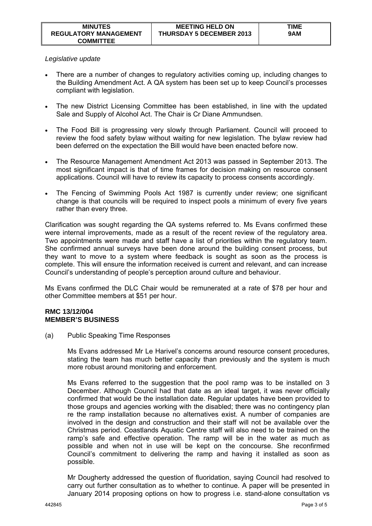## *Legislative update*

- There are a number of changes to regulatory activities coming up, including changes to the Building Amendment Act. A QA system has been set up to keep Council's processes compliant with legislation.
- The new District Licensing Committee has been established, in line with the updated Sale and Supply of Alcohol Act. The Chair is Cr Diane Ammundsen.
- The Food Bill is progressing very slowly through Parliament. Council will proceed to review the food safety bylaw without waiting for new legislation. The bylaw review had been deferred on the expectation the Bill would have been enacted before now.
- The Resource Management Amendment Act 2013 was passed in September 2013. The most significant impact is that of time frames for decision making on resource consent applications. Council will have to review its capacity to process consents accordingly.
- The Fencing of Swimming Pools Act 1987 is currently under review; one significant change is that councils will be required to inspect pools a minimum of every five years rather than every three.

Clarification was sought regarding the QA systems referred to. Ms Evans confirmed these were internal improvements, made as a result of the recent review of the regulatory area. Two appointments were made and staff have a list of priorities within the regulatory team. She confirmed annual surveys have been done around the building consent process, but they want to move to a system where feedback is sought as soon as the process is complete. This will ensure the information received is current and relevant, and can increase Council's understanding of people's perception around culture and behaviour.

Ms Evans confirmed the DLC Chair would be remunerated at a rate of \$78 per hour and other Committee members at \$51 per hour.

### **RMC 13/12/004 MEMBER'S BUSINESS**

(a) Public Speaking Time Responses

 Ms Evans addressed Mr Le Harivel's concerns around resource consent procedures, stating the team has much better capacity than previously and the system is much more robust around monitoring and enforcement.

 Ms Evans referred to the suggestion that the pool ramp was to be installed on 3 December. Although Council had that date as an ideal target, it was never officially confirmed that would be the installation date. Regular updates have been provided to those groups and agencies working with the disabled; there was no contingency plan re the ramp installation because no alternatives exist. A number of companies are involved in the design and construction and their staff will not be available over the Christmas period. Coastlands Aquatic Centre staff will also need to be trained on the ramp's safe and effective operation. The ramp will be in the water as much as possible and when not in use will be kept on the concourse. She reconfirmed Council's commitment to delivering the ramp and having it installed as soon as possible.

 Mr Dougherty addressed the question of fluoridation, saying Council had resolved to carry out further consultation as to whether to continue. A paper will be presented in January 2014 proposing options on how to progress i.e. stand-alone consultation vs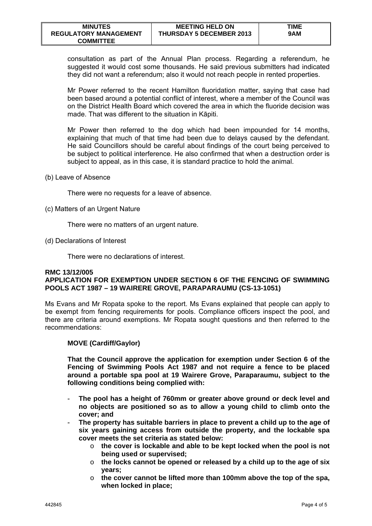consultation as part of the Annual Plan process. Regarding a referendum, he suggested it would cost some thousands. He said previous submitters had indicated they did not want a referendum; also it would not reach people in rented properties.

 Mr Power referred to the recent Hamilton fluoridation matter, saying that case had been based around a potential conflict of interest, where a member of the Council was on the District Health Board which covered the area in which the fluoride decision was made. That was different to the situation in Kāpiti.

 Mr Power then referred to the dog which had been impounded for 14 months, explaining that much of that time had been due to delays caused by the defendant. He said Councillors should be careful about findings of the court being perceived to be subject to political interference. He also confirmed that when a destruction order is subject to appeal, as in this case, it is standard practice to hold the animal.

(b) Leave of Absence

There were no requests for a leave of absence.

(c) Matters of an Urgent Nature

There were no matters of an urgent nature.

(d) Declarations of Interest

There were no declarations of interest.

### **RMC 13/12/005 APPLICATION FOR EXEMPTION UNDER SECTION 6 OF THE FENCING OF SWIMMING POOLS ACT 1987 – 19 WAIRERE GROVE, PARAPARAUMU (CS-13-1051)**

Ms Evans and Mr Ropata spoke to the report. Ms Evans explained that people can apply to be exempt from fencing requirements for pools. Compliance officers inspect the pool, and there are criteria around exemptions. Mr Ropata sought questions and then referred to the recommendations:

# **MOVE (Cardiff/Gaylor)**

**That the Council approve the application for exemption under Section 6 of the Fencing of Swimming Pools Act 1987 and not require a fence to be placed around a portable spa pool at 19 Wairere Grove, Paraparaumu, subject to the following conditions being complied with:** 

- The pool has a height of 760mm or greater above ground or deck level and **no objects are positioned so as to allow a young child to climb onto the cover; and**
- **The property has suitable barriers in place to prevent a child up to the age of six years gaining access from outside the property, and the lockable spa cover meets the set criteria as stated below:** 
	- o **the cover is lockable and able to be kept locked when the pool is not being used or supervised;**
	- o **the locks cannot be opened or released by a child up to the age of six years;**
	- o **the cover cannot be lifted more than 100mm above the top of the spa, when locked in place;**